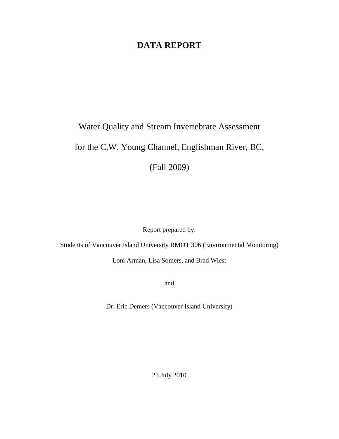# **DATA REPORT**

# Water Quality and Stream Invertebrate Assessment for the C.W. Young Channel, Englishman River, BC,

(Fall 2009)

Report prepared by:

Students of Vancouver Island University RMOT 306 (Environmental Monitoring)

Loni Arman, Lisa Somers, and Brad Wiest

and

Dr. Eric Demers (Vancouver Island University)

23 July 2010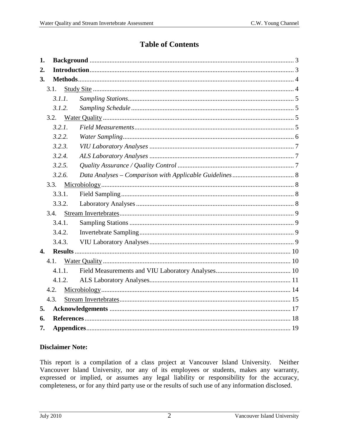# **Table of Contents**

| 1.               |        |  |
|------------------|--------|--|
| 2.               |        |  |
| 3.               |        |  |
|                  | 3.1.   |  |
|                  | 3.1.1. |  |
|                  | 3.1.2. |  |
|                  | 3.2.   |  |
|                  | 3.2.1. |  |
|                  | 3.2.2. |  |
|                  | 3.2.3. |  |
|                  | 3.2.4. |  |
|                  | 3.2.5. |  |
|                  | 3.2.6. |  |
|                  | 3.3.   |  |
|                  | 3.3.1. |  |
|                  | 3.3.2. |  |
|                  | 3.4.   |  |
|                  | 3.4.1. |  |
|                  | 3.4.2. |  |
|                  | 3.4.3. |  |
| $\overline{4}$ . |        |  |
|                  | 4.1.   |  |
|                  | 4.1.1. |  |
|                  | 4.1.2. |  |
|                  | 4.2.   |  |
|                  | 4.3.   |  |
| 5.               |        |  |
| 6.               |        |  |
| 7.               |        |  |

# **Disclaimer Note:**

This report is a compilation of a class project at Vancouver Island University. Neither Vancouver Island University, nor any of its employees or students, makes any warranty, expressed or implied, or assumes any legal liability or responsibility for the accuracy, completeness, or for any third party use or the results of such use of any information disclosed.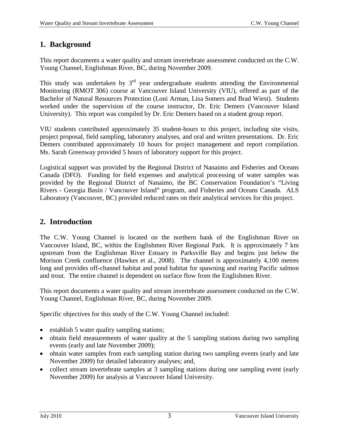# **1. Background**

This report documents a water quality and stream invertebrate assessment conducted on the C.W. Young Channel, Englishman River, BC, during November 2009.

This study was undertaken by  $3<sup>rd</sup>$  year undergraduate students attending the Environmental Monitoring (RMOT 306) course at Vancouver Island University (VIU), offered as part of the Bachelor of Natural Resources Protection (Loni Arman, Lisa Somers and Brad Wiest). Students worked under the supervision of the course instructor, Dr. Eric Demers (Vancouver Island University). This report was compiled by Dr. Eric Demers based on a student group report.

VIU students contributed approximately 35 student-hours to this project, including site visits, project proposal, field sampling, laboratory analyses, and oral and written presentations. Dr. Eric Demers contributed approximately 10 hours for project management and report compilation. Ms. Sarah Greenway provided 5 hours of laboratory support for this project.

Logistical support was provided by the Regional District of Nanaimo and Fisheries and Oceans Canada (DFO). Funding for field expenses and analytical processing of water samples was provided by the Regional District of Nanaimo, the BC Conservation Foundation's "Living Rivers - Georgia Basin / Vancouver Island" program, and Fisheries and Oceans Canada. ALS Laboratory (Vancouver, BC) provided reduced rates on their analytical services for this project.

# **2. Introduction**

The C.W. Young Channel is located on the northern bank of the Englishman River on Vancouver Island, BC, within the Englishmen River Regional Park. It is approximately 7 km upstream from the Englishman River Estuary in Parksville Bay and begins just below the Morison Creek confluence (Hawkes et al., 2008). The channel is approximately 4,100 metres long and provides off-channel habitat and pond habitat for spawning and rearing Pacific salmon and trout. The entire channel is dependent on surface flow from the Englishmen River.

This report documents a water quality and stream invertebrate assessment conducted on the C.W. Young Channel, Englishman River, BC, during November 2009.

Specific objectives for this study of the C.W. Young Channel included:

- establish 5 water quality sampling stations;
- obtain field measurements of water quality at the 5 sampling stations during two sampling events (early and late November 2009);
- obtain water samples from each sampling station during two sampling events (early and late November 2009) for detailed laboratory analyses; and,
- collect stream invertebrate samples at 3 sampling stations during one sampling event (early November 2009) for analysis at Vancouver Island University.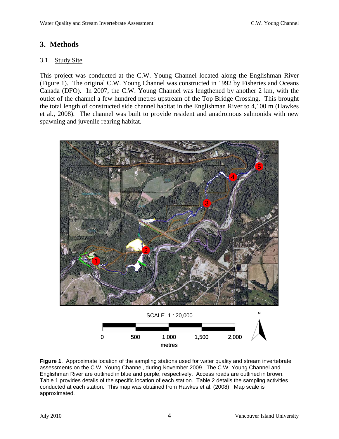# **3. Methods**

#### 3.1. Study Site

This project was conducted at the C.W. Young Channel located along the Englishman River (Figure 1). The original C.W. Young Channel was constructed in 1992 by Fisheries and Oceans Canada (DFO). In 2007, the C.W. Young Channel was lengthened by another 2 km, with the outlet of the channel a few hundred metres upstream of the Top Bridge Crossing. This brought the total length of constructed side channel habitat in the Englishman River to 4,100 m (Hawkes et al., 2008). The channel was built to provide resident and anadromous salmonids with new spawning and juvenile rearing habitat.



**Figure 1**. Approximate location of the sampling stations used for water quality and stream invertebrate assessments on the C.W. Young Channel, during November 2009. The C.W. Young Channel and Englishman River are outlined in blue and purple, respectively. Access roads are outlined in brown. Table 1 provides details of the specific location of each station. Table 2 details the sampling activities conducted at each station. This map was obtained from Hawkes et al. (2008). Map scale is approximated.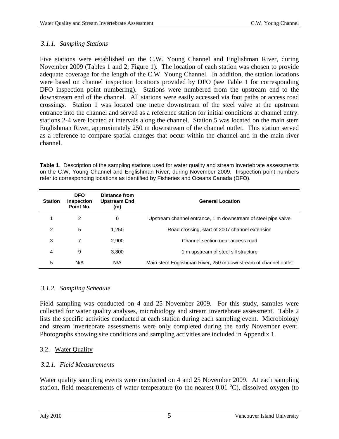#### *3.1.1. Sampling Stations*

Five stations were established on the C.W. Young Channel and Englishman River, during November 2009 (Tables 1 and 2; Figure 1). The location of each station was chosen to provide adequate coverage for the length of the C.W. Young Channel. In addition, the station locations were based on channel inspection locations provided by DFO (see Table 1 for corresponding DFO inspection point numbering). Stations were numbered from the upstream end to the downstream end of the channel. All stations were easily accessed via foot paths or access road crossings. Station 1 was located one metre downstream of the steel valve at the upstream entrance into the channel and served as a reference station for initial conditions at channel entry. stations 2-4 were located at intervals along the channel. Station 5 was located on the main stem Englishman River, approximately 250 m downstream of the channel outlet. This station served as a reference to compare spatial changes that occur within the channel and in the main river channel.

**Table 1**. Description of the sampling stations used for water quality and stream invertebrate assessments on the C.W. Young Channel and Englishman River, during November 2009. Inspection point numbers refer to corresponding locations as identified by Fisheries and Oceans Canada (DFO).

| <b>Station</b> | <b>DFO</b><br><b>Inspection</b><br>Point No. | Distance from<br><b>Upstream End</b><br>(m) | <b>General Location</b>                                        |
|----------------|----------------------------------------------|---------------------------------------------|----------------------------------------------------------------|
|                | 2                                            | 0                                           | Upstream channel entrance, 1 m downstream of steel pipe valve  |
| 2              | 5                                            | 1,250                                       | Road crossing, start of 2007 channel extension                 |
| 3              | 7                                            | 2,900                                       | Channel section near access road                               |
| 4              | 9                                            | 3,800                                       | 1 m upstream of steel sill structure                           |
| 5              | N/A                                          | N/A                                         | Main stem Englishman River, 250 m downstream of channel outlet |

#### *3.1.2. Sampling Schedule*

Field sampling was conducted on 4 and 25 November 2009. For this study, samples were collected for water quality analyses, microbiology and stream invertebrate assessment. Table 2 lists the specific activities conducted at each station during each sampling event. Microbiology and stream invertebrate assessments were only completed during the early November event. Photographs showing site conditions and sampling activities are included in Appendix 1.

#### 3.2. Water Quality

#### *3.2.1. Field Measurements*

Water quality sampling events were conducted on 4 and 25 November 2009. At each sampling station, field measurements of water temperature (to the nearest 0.01 °C), dissolved oxygen (to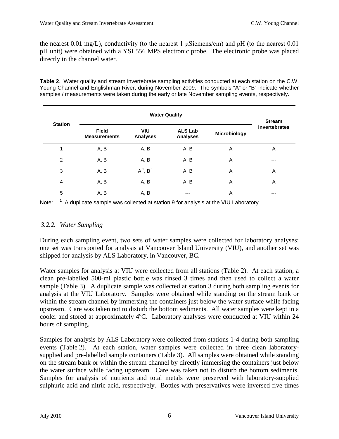the nearest 0.01 mg/L), conductivity (to the nearest 1  $\mu$ Siemens/cm) and pH (to the nearest 0.01 pH unit) were obtained with a YSI 556 MPS electronic probe. The electronic probe was placed directly in the channel water.

**Table 2**. Water quality and stream invertebrate sampling activities conducted at each station on the C.W. Young Channel and Englishman River, during November 2009. The symbols "A" or "B" indicate whether samples / measurements were taken during the early or late November sampling events, respectively.

|                | <b>Water Quality</b>                |                               |                                   |              |                                       |  |  |  |  |
|----------------|-------------------------------------|-------------------------------|-----------------------------------|--------------|---------------------------------------|--|--|--|--|
| <b>Station</b> | <b>Field</b><br><b>Measurements</b> | <b>VIU</b><br><b>Analyses</b> | <b>ALS Lab</b><br><b>Analyses</b> | Microbiology | <b>Stream</b><br><b>Invertebrates</b> |  |  |  |  |
| 1              | A, B                                | A, B                          | A, B                              | A            | Α                                     |  |  |  |  |
| 2              | A, B                                | A, B                          | A, B                              | A            | $---$                                 |  |  |  |  |
| 3              | A, B                                | $A^1$ , $B^1$                 | A, B                              | Α            | Α                                     |  |  |  |  |
| $\overline{4}$ | A, B                                | A, B                          | A, B                              | A            | A                                     |  |  |  |  |
| 5              | A, B                                | A, B                          | ---                               | A            | ---                                   |  |  |  |  |

Note: <sup>1</sup> A duplicate sample was collected at station 9 for analysis at the VIU Laboratory.

# *3.2.2. Water Sampling*

During each sampling event, two sets of water samples were collected for laboratory analyses: one set was transported for analysis at Vancouver Island University (VIU), and another set was shipped for analysis by ALS Laboratory, in Vancouver, BC.

Water samples for analysis at VIU were collected from all stations (Table 2). At each station, a clean pre-labelled 500-ml plastic bottle was rinsed 3 times and then used to collect a water sample (Table 3). A duplicate sample was collected at station 3 during both sampling events for analysis at the VIU Laboratory. Samples were obtained while standing on the stream bank or within the stream channel by immersing the containers just below the water surface while facing upstream. Care was taken not to disturb the bottom sediments. All water samples were kept in a cooler and stored at approximately 4°C. Laboratory analyses were conducted at VIU within 24 hours of sampling.

Samples for analysis by ALS Laboratory were collected from stations 1-4 during both sampling events (Table 2). At each station, water samples were collected in three clean laboratorysupplied and pre-labelled sample containers (Table 3). All samples were obtained while standing on the stream bank or within the stream channel by directly immersing the containers just below the water surface while facing upstream. Care was taken not to disturb the bottom sediments. Samples for analysis of nutrients and total metals were preserved with laboratory-supplied sulphuric acid and nitric acid, respectively. Bottles with preservatives were inversed five times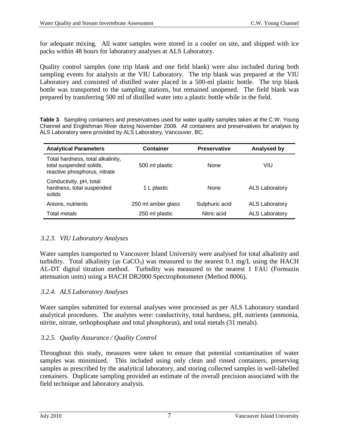for adequate mixing. All water samples were stored in a cooler on site, and shipped with ice packs within 48 hours for laboratory analyses at ALS Laboratory.

Quality control samples (one trip blank and one field blank) were also included during both sampling events for analysis at the VIU Laboratory. The trip blank was prepared at the VIU Laboratory and consisted of distilled water placed in a 500-ml plastic bottle. The trip blank bottle was transported to the sampling stations, but remained unopened. The field blank was prepared by transferring 500 ml of distilled water into a plastic bottle while in the field.

**Table 3**. Sampling containers and preservatives used for water quality samples taken at the C.W. Young Channel and Englishman River during November 2009. All containers and preservatives for analysis by ALS Laboratory were provided by ALS Laboratory, Vancouver, BC.

| <b>Analytical Parameters</b>                                                                 | <b>Container</b>   | <b>Preservative</b> | Analysed by           |
|----------------------------------------------------------------------------------------------|--------------------|---------------------|-----------------------|
| Total hardness, total alkalinity,<br>total suspended solids,<br>reactive phosphorus, nitrate | 500 ml plastic     | <b>None</b>         | VIU                   |
| Conductivity, pH, total<br>hardness, total suspended<br>solids                               | 1 L plastic        | <b>None</b>         | <b>ALS Laboratory</b> |
| Anions, nutrients                                                                            | 250 ml amber glass | Sulphuric acid      | <b>ALS Laboratory</b> |
| Total metals                                                                                 | 250 ml plastic     | Nitric acid         | <b>ALS Laboratory</b> |

#### *3.2.3. VIU Laboratory Analyses*

Water samples transported to Vancouver Island University were analysed for total alkalinity and turbidity. Total alkalinity (as  $CaCO<sub>3</sub>$ ) was measured to the nearest 0.1 mg/L using the HACH AL-DT digital titration method. Turbidity was measured to the nearest 1 FAU (Formazin attenuation units) using a HACH DR2000 Spectrophotometer (Method 8006).

#### *3.2.4. ALS Laboratory Analyses*

Water samples submitted for external analyses were processed as per ALS Laboratory standard analytical procedures. The analytes were: conductivity, total hardness, pH, nutrients (ammonia, nitrite, nitrate, orthophosphate and total phosphorus), and total metals (31 metals).

#### *3.2.5. Quality Assurance / Quality Control*

Throughout this study, measures were taken to ensure that potential contamination of water samples was minimized. This included using only clean and rinsed containers, preserving samples as prescribed by the analytical laboratory, and storing collected samples in well-labelled containers. Duplicate sampling provided an estimate of the overall precision associated with the field technique and laboratory analysis.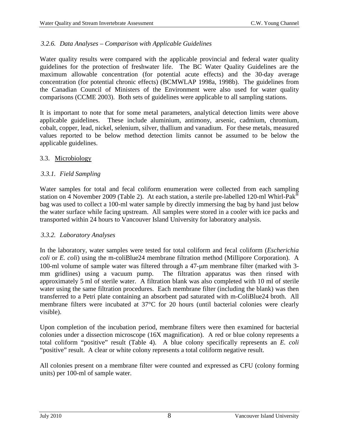#### *3.2.6. Data Analyses – Comparison with Applicable Guidelines*

Water quality results were compared with the applicable provincial and federal water quality guidelines for the protection of freshwater life. The BC Water Quality Guidelines are the maximum allowable concentration (for potential acute effects) and the 30-day average concentration (for potential chronic effects) (BCMWLAP 1998a, 1998b). The guidelines from the Canadian Council of Ministers of the Environment were also used for water quality comparisons (CCME 2003). Both sets of guidelines were applicable to all sampling stations.

It is important to note that for some metal parameters, analytical detection limits were above applicable guidelines. These include aluminium, antimony, arsenic, cadmium, chromium, cobalt, copper, lead, nickel, selenium, silver, thallium and vanadium. For these metals, measured values reported to be below method detection limits cannot be assumed to be below the applicable guidelines.

#### 3.3. Microbiology

#### *3.3.1. Field Sampling*

Water samples for total and fecal coliform enumeration were collected from each sampling station on 4 November 2009 (Table 2). At each station, a sterile pre-labelled 120-ml Whirl-Pak<sup>®</sup> bag was used to collect a 100-ml water sample by directly immersing the bag by hand just below the water surface while facing upstream. All samples were stored in a cooler with ice packs and transported within 24 hours to Vancouver Island University for laboratory analysis.

#### *3.3.2. Laboratory Analyses*

In the laboratory, water samples were tested for total coliform and fecal coliform (*Escherichia coli* or *E. coli*) using the m-coliBlue24 membrane filtration method (Millipore Corporation). A 100-ml volume of sample water was filtered through a 47-µm membrane filter (marked with 3 mm gridlines) using a vacuum pump. The filtration apparatus was then rinsed with approximately 5 ml of sterile water. A filtration blank was also completed with 10 ml of sterile water using the same filtration procedures. Each membrane filter (including the blank) was then transferred to a Petri plate containing an absorbent pad saturated with m-ColiBlue24 broth. All membrane filters were incubated at 37°C for 20 hours (until bacterial colonies were clearly visible).

Upon completion of the incubation period, membrane filters were then examined for bacterial colonies under a dissection microscope (16X magnification). A red or blue colony represents a total coliform "positive" result (Table 4). A blue colony specifically represents an *E. coli* "positive" result. A clear or white colony represents a total coliform negative result.

All colonies present on a membrane filter were counted and expressed as CFU (colony forming units) per 100-ml of sample water.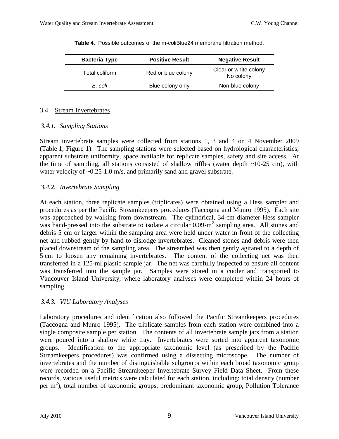| <b>Bacteria Type</b> | <b>Positive Result</b> | <b>Negative Result</b>             |
|----------------------|------------------------|------------------------------------|
| Total coliform       | Red or blue colony     | Clear or white colony<br>No colony |
| E. coli              | Blue colony only       | Non-blue colony                    |
|                      |                        |                                    |

**Table 4**. Possible outcomes of the m-coliBlue24 membrane filtration method.

#### 3.4. Stream Invertebrates

#### *3.4.1. Sampling Stations*

Stream invertebrate samples were collected from stations 1, 3 and 4 on 4 November 2009 (Table 1; Figure 1). The sampling stations were selected based on hydrological characteristics, apparent substrate uniformity, space available for replicate samples, safety and site access. At the time of sampling, all stations consisted of shallow riffles (water depth  $\sim$ 10-25 cm), with water velocity of ~0.25-1.0 m/s, and primarily sand and gravel substrate.

#### *3.4.2. Invertebrate Sampling*

At each station, three replicate samples (triplicates) were obtained using a Hess sampler and procedures as per the Pacific Streamkeepers procedures (Taccogna and Munro 1995). Each site was approached by walking from downstream. The cylindrical, 34-cm diameter Hess sampler was hand-pressed into the substrate to isolate a circular 0.09-m<sup>2</sup> sampling area. All stones and debris 5 cm or larger within the sampling area were held under water in front of the collecting net and rubbed gently by hand to dislodge invertebrates. Cleaned stones and debris were then placed downstream of the sampling area. The streambed was then gently agitated to a depth of 5 cm to loosen any remaining invertebrates. The content of the collecting net was then transferred in a 125-ml plastic sample jar. The net was carefully inspected to ensure all content was transferred into the sample jar. Samples were stored in a cooler and transported to Vancouver Island University, where laboratory analyses were completed within 24 hours of sampling.

#### *3.4.3. VIU Laboratory Analyses*

Laboratory procedures and identification also followed the Pacific Streamkeepers procedures (Taccogna and Munro 1995). The triplicate samples from each station were combined into a single composite sample per station. The contents of all invertebrate sample jars from a station were poured into a shallow white tray. Invertebrates were sorted into apparent taxonomic groups. Identification to the appropriate taxonomic level (as prescribed by the Pacific Streamkeepers procedures) was confirmed using a dissecting microscope. The number of invertebrates and the number of distinguishable subgroups within each broad taxonomic group were recorded on a Pacific Streamkeeper Invertebrate Survey Field Data Sheet. From these records, various useful metrics were calculated for each station, including: total density (number per  $m<sup>2</sup>$ ), total number of taxonomic groups, predominant taxonomic group, Pollution Tolerance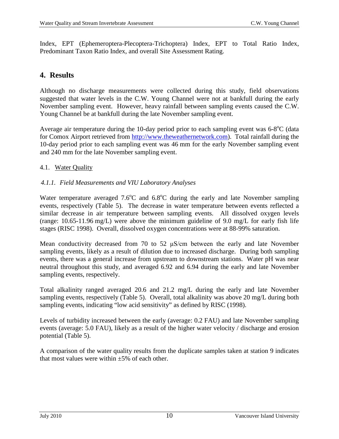Index, EPT (Ephemeroptera-Plecoptera-Trichoptera) Index, EPT to Total Ratio Index, Predominant Taxon Ratio Index, and overall Site Assessment Rating.

# **4. Results**

Although no discharge measurements were collected during this study, field observations suggested that water levels in the C.W. Young Channel were not at bankfull during the early November sampling event. However, heavy rainfall between sampling events caused the C.W. Young Channel be at bankfull during the late November sampling event.

Average air temperature during the 10-day period prior to each sampling event was  $6-8^{\circ}C$  (data for Comox Airport retrieved from [http://www.theweathernetwork.com\)](http://www.theweathernetwork.com/). Total rainfall during the 10-day period prior to each sampling event was 46 mm for the early November sampling event and 240 mm for the late November sampling event.

#### 4.1. Water Quality

#### *4.1.1. Field Measurements and VIU Laboratory Analyses*

Water temperature averaged  $7.6^{\circ}$ C and  $6.8^{\circ}$ C during the early and late November sampling events, respectively (Table 5). The decrease in water temperature between events reflected a similar decrease in air temperature between sampling events. All dissolved oxygen levels (range: 10.65-11.96 mg/L) were above the minimum guideline of 9.0 mg/L for early fish life stages (RISC 1998). Overall, dissolved oxygen concentrations were at 88-99% saturation.

Mean conductivity decreased from 70 to 52 μS/cm between the early and late November sampling events, likely as a result of dilution due to increased discharge. During both sampling events, there was a general increase from upstream to downstream stations. Water pH was near neutral throughout this study, and averaged 6.92 and 6.94 during the early and late November sampling events, respectively.

Total alkalinity ranged averaged 20.6 and 21.2 mg/L during the early and late November sampling events, respectively (Table 5). Overall, total alkalinity was above 20 mg/L during both sampling events, indicating "low acid sensitivity" as defined by RISC (1998).

Levels of turbidity increased between the early (average: 0.2 FAU) and late November sampling events (average: 5.0 FAU), likely as a result of the higher water velocity / discharge and erosion potential (Table 5).

A comparison of the water quality results from the duplicate samples taken at station 9 indicates that most values were within  $+5\%$  of each other.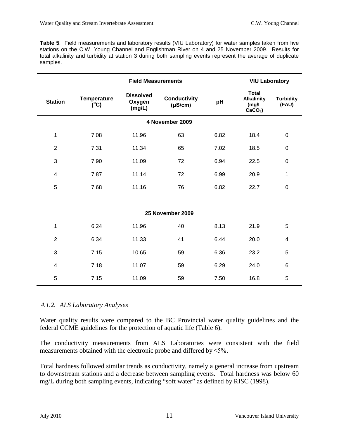**Table 5**. Field measurements and laboratory results (VIU Laboratory) for water samples taken from five stations on the C.W. Young Channel and Englishman River on 4 and 25 November 2009. Results for total alkalinity and turbidity at station 3 during both sampling events represent the average of duplicate samples.

|                         |                                      | <b>VIU Laboratory</b>                |                                     |      |                                                          |                           |
|-------------------------|--------------------------------------|--------------------------------------|-------------------------------------|------|----------------------------------------------------------|---------------------------|
| <b>Station</b>          | <b>Temperature</b><br>$(C^{\circ}C)$ | <b>Dissolved</b><br>Oxygen<br>(mg/L) | <b>Conductivity</b><br>$(\mu S/cm)$ | pH   | <b>Total</b><br><b>Alkalinity</b><br>(mg/L)<br>$CaCO3$ ) | <b>Turbidity</b><br>(FAU) |
|                         |                                      |                                      | 4 November 2009                     |      |                                                          |                           |
| 1                       | 7.08                                 | 11.96                                | 63                                  | 6.82 | 18.4                                                     | $\boldsymbol{0}$          |
| $\overline{c}$          | 7.31                                 | 11.34                                | 65                                  | 7.02 | 18.5                                                     | $\boldsymbol{0}$          |
| 3                       | 7.90                                 | 11.09                                | 72                                  | 6.94 | 22.5                                                     | $\mathbf 0$               |
| 4                       | 7.87                                 | 11.14                                | 72                                  | 6.99 | 20.9                                                     | 1                         |
| 5                       | 7.68                                 | 11.16                                | 76                                  | 6.82 | 22.7                                                     | $\boldsymbol{0}$          |
|                         |                                      |                                      |                                     |      |                                                          |                           |
|                         |                                      |                                      | 25 November 2009                    |      |                                                          |                           |
| 1                       | 6.24                                 | 11.96                                | 40                                  | 8.13 | 21.9                                                     | 5                         |
| $\overline{2}$          | 6.34                                 | 11.33                                | 41                                  | 6.44 | 20.0                                                     | 4                         |
| 3                       | 7.15                                 | 10.65                                | 59                                  | 6.36 | 23.2                                                     | 5                         |
| $\overline{\mathbf{4}}$ | 7.18                                 | 11.07                                | 59                                  | 6.29 | 24.0                                                     | $6\phantom{1}6$           |
| 5                       | 7.15                                 | 11.09                                | 59                                  | 7.50 | 16.8                                                     | 5                         |

#### *4.1.2. ALS Laboratory Analyses*

Water quality results were compared to the BC Provincial water quality guidelines and the federal CCME guidelines for the protection of aquatic life (Table 6).

The conductivity measurements from ALS Laboratories were consistent with the field measurements obtained with the electronic probe and differed by ≤5%.

Total hardness followed similar trends as conductivity, namely a general increase from upstream to downstream stations and a decrease between sampling events. Total hardness was below 60 mg/L during both sampling events, indicating "soft water" as defined by RISC (1998).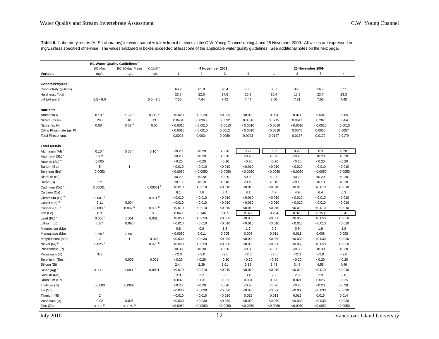**Table 6.** Laboratory results (ALS Laboratory) for water samples taken from 4 stations at the C.W. Young Channel during 4 and 25 November 2009. All values are expressed in mg/L unless specified otherwise. The values enclosed in boxes exceeded at least one of the applicable water quality guidelines. See additional notes on the next page.

|                                       |                            | <b>BC Water Quality Guidelines<sup>a</sup></b> |                           |                    |                    |                    |                    |                    |                    |                    |                    |
|---------------------------------------|----------------------------|------------------------------------------------|---------------------------|--------------------|--------------------|--------------------|--------------------|--------------------|--------------------|--------------------|--------------------|
|                                       | <b>BC Max</b>              | BC 30-day Mean                                 | CCME <sup>b</sup>         |                    |                    | 4 November 2009    |                    |                    |                    | 25 November 2009   |                    |
| Variable                              | mg/L                       | mg/L                                           | mg/L                      | $\mathbf{1}$       | $\overline{2}$     | 3                  | $\pmb{4}$          | $\mathbf{1}$       | $\overline{2}$     | 3                  | 4                  |
|                                       |                            |                                                |                           |                    |                    |                    |                    |                    |                    |                    |                    |
| General/Physical                      |                            |                                                |                           |                    |                    |                    |                    |                    |                    |                    |                    |
| Conductivity (µS/cm)                  |                            |                                                |                           | 63.2               | 61.8               | 70.4               | 70.6               | 38.7               | 39.8               | 56.7               | 57.1               |
| Hardness, Total                       |                            |                                                |                           | 23.7               | 22.5               | 27.6               | 26.9               | 15.4               | 15.9               | 23.7               | 23.3               |
| pH (pH units)                         | $6.5 - 9.0$                |                                                | $6.5 - 9.0$               | 7.50               | 7.44               | 7.42               | 7.44               | 8.00               | 7.81               | 7.53               | 7.45               |
| <b>Nutrients</b>                      |                            |                                                |                           |                    |                    |                    |                    |                    |                    |                    |                    |
| Ammonia-N                             | 8.18 <sup>c</sup>          | $1.57$ <sup>c</sup>                            | $0.715$ $\degree$         | < 0.020            | < 0.020            | < 0.020            | <0.020             | 0.054              | 0.074              | 0.044              | 0.085              |
| Nitrate (as N)                        | 200                        | 40                                             | 13                        | 0.0464             | 0.0360             | 0.0392             | 0.0388             | 0.0715             | 0.0647             | 0.287              | 0.284              |
| Nitrite (as N)                        | 0.06 <sup>d</sup>          | 0.02 <sup>d</sup>                              | 0.06                      | < 0.0010           | < 0.0010           | < 0.0010           | < 0.0010           | < 0.0010           | < 0.0010           | < 0.0010           | < 0.0010           |
| Ortho Phosphate (as P)                |                            |                                                |                           | < 0.0010           | < 0.0010           | 0.0012             | < 0.0010           | < 0.0010           | 0.0045             | 0.0055             | 0.0057             |
| <b>Total Phosphorus</b>               |                            |                                                |                           | 0.0023             | 0.0034             | 0.0060             | 0.0093             | 0.0147             | 0.0137             | 0.0172             | 0.0179             |
| <b>Total Metals</b>                   |                            |                                                |                           |                    |                    |                    |                    |                    |                    |                    |                    |
| Aluminum (AI) <sup>n</sup>            | 0.10 <sup>e</sup>          | 0.05 <sup>e</sup>                              | 0.10 <sup>e</sup>         | <0.20              | <0.20              | <0.20              | 0.27               | 0.32               | 0.29               | 0.3                | 0.28               |
| Antimony (Sb) <sup>n</sup>            | 0.02                       |                                                |                           | < 0.20             | < 0.20             | <0.20              | <0.20              | < 0.20             | < 0.20             | <0.20              | <0.20              |
| Arsenic (As) <sup>n</sup>             | 0.005                      |                                                |                           | < 0.20             | <0.20              | <0.20              | < 0.20             | < 0.20             | < 0.20             | <0.20              | < 0.20             |
| Barium (Ba)                           | $\sqrt{5}$                 | $\overline{1}$                                 |                           | < 0.010            | < 0.010            | < 0.010            | < 0.010            | < 0.010            | < 0.010            | < 0.010            | < 0.010            |
| Berylium (Be)                         | 0.0053                     |                                                |                           | < 0.0050           | < 0.0050           | < 0.0050           | < 0.0050           | < 0.0050           | < 0.0050           | < 0.0050           | < 0.0050           |
| Bismuth (Bi)                          |                            |                                                |                           | <0.20              | < 0.20             | <0.20              | <0.20              | <0.20              | <0.20              | <0.20              | <0.20              |
| Boron (B)                             | 1.2                        |                                                |                           | < 0.10             | < 0.10             | < 0.10             | <0.10              | < 0.10             | < 0.10             | <0.10              | <0.10              |
|                                       | $0.00001$ <sup>f</sup>     |                                                | $0.00001$ <sup>f</sup>    |                    | < 0.010            |                    | < 0.010            | < 0.010            | < 0.010            | < 0.010            | < 0.010            |
| Cadmium (Cd) <sup>n</sup>             |                            |                                                |                           | < 0.010            | 7.6                | < 0.010<br>8.4     | 8.1                | 4.7                | 4.9                | 6.4                | 6.3                |
| Calcium (Ca)                          |                            |                                                |                           | 8.1                |                    |                    |                    |                    |                    |                    |                    |
| Chromium (Cr) <sup>n</sup>            | 0.001 <sup>9</sup><br>0.11 | 0.004                                          | 0.001 <sup>9</sup>        | < 0.010<br>< 0.010 | < 0.010<br>< 0.010 | < 0.010<br>< 0.010 | < 0.010<br>< 0.010 | < 0.010<br>< 0.010 | < 0.010<br>< 0.010 | < 0.010            | < 0.010<br>< 0.010 |
| Cobalt (Co) <sup>n</sup>              | 0.003 <sup>h</sup>         | 0.002 <sup>h</sup>                             |                           | < 0.010            | < 0.010            | < 0.010            | < 0.010            | < 0.010            | < 0.010            | < 0.010<br>< 0.010 | < 0.010            |
| Copper (Cu) <sup>n</sup><br>Iron (Fe) | 0.3                        |                                                | 0.002 <sup>h</sup><br>0.3 | 0.048              | 0.146              | 0.135              | 0.377              | 0.294              | 0.325              | 0.353              | 0.341              |
|                                       |                            |                                                |                           |                    |                    |                    |                    |                    |                    |                    | < 0.050            |
| Lead (Pb) $n$                         | 0.006                      | $0.004$ <sup>i</sup>                           | $0.001$ <sup>i</sup>      | < 0.050            | < 0.050            | < 0.050            | < 0.050            | < 0.050            | < 0.050            | < 0.050            |                    |
| Lithium (Li)                          | 0.87                       | 0.096                                          |                           | < 0.010            | < 0.010            | < 0.010            | < 0.010            | < 0.010            | < 0.010            | < 0.010            | < 0.010            |
| Magnesium (Mg)                        |                            |                                                |                           | 0.8                | 0.9                | 1.6                | 1.7                | 0.9                | 0.9                | 1.9                | 1.9                |
| Manganese (Mn)                        | 0.68 <sup>j</sup>          | $0.66^{\circ}$                                 |                           | < 0.0050           | 0.011              | 0.005              | 0.008              | 0.011              | 0.011              | 0.008              | 0.008              |
| Molybdenum (Mo)                       | $\overline{2}$             | $\mathbf{1}$                                   | 0.073                     | <0.030             | < 0.030            | < 0.030            | <0.030             | < 0.030            | < 0.030            | < 0.030            | <0.030             |
| Nickel (Ni) <sup>n</sup>              | 0.025 <sup>k</sup>         |                                                | 0.025 <sup>k</sup>        | < 0.050            | < 0.050            | < 0.050            | < 0.050            | < 0.050            | < 0.050            | < 0.050            | < 0.050            |
| Phosphorus (P)                        |                            |                                                |                           | <0.30              | <0.30              | <0.30              | <0.30              | < 0.30             | < 0.30             | <0.30              | <0.30              |
| Potassium (K)                         | 373                        |                                                |                           | 2.0                | 2.0                | 2.0                | 2.0                | 2.0                | 2.0                | 2.0                | 2.0                |
| Selenium (Se) <sup>n</sup>            |                            | 0.002                                          | 0.001                     | <0.20              | <0.20              | <0.20              | <0.20              | < 0.20             | < 0.20             | <0.20              | <0.20              |
| Silicon (Si)                          |                            |                                                |                           | 2.44               | 2.39               | 3.01               | 3.19               | 3.43               | 3.48               | 4.55               | 4.46               |
| Silver (Ag) <sup>n</sup>              | 0.0001                     | 0.00005                                        | 0.0001                    | < 0.010            | < 0.010            | < 0.010            | < 0.010            | < 0.010            | < 0.010            | < 0.010            | < 0.010            |
| Sodium (Na)                           |                            |                                                |                           | 3.0                | 3.2                | 3.3                | 3.4                | 2.2                | 2.3                | 2.9                | 2.8                |
| Strontium (Sr)                        |                            |                                                |                           | 0.032              | 0.031              | 0.031              | 0.031              | 0.020              | 0.021              | 0.025              | 0.025              |
| Thallium (TI)                         | 0.0003                     | 0.0008                                         |                           | <0.20              | <0.20              | <0.20              | <0.20              | <0.20              | < 0.20             | <0.20              | < 0.20             |
| Tin (Sn)                              |                            |                                                |                           | < 0.030            | < 0.030            | < 0.030            | < 0.030            | < 0.030            | < 0.030            | < 0.030            | < 0.030            |
| Titanium (Ti)                         | $\overline{2}$             |                                                |                           | < 0.010            | < 0.010            | < 0.010            | 0.015              | 0.013              | 0.012              | 0.015              | 0.014              |
| Vanadium (V) <sup>n</sup>             | 0.02                       | 0.006                                          |                           | < 0.030            | < 0.030            | < 0.030            | <0.030             | < 0.030            | < 0.030            | < 0.030            | <0.030             |
| Zinc (Zn)                             | 0.033 <sup>m</sup>         | 0.0075 <sup>m</sup>                            |                           | < 0.0050           | < 0.0050           | < 0.0050           | < 0.0050           | < 0.0050           | < 0.0050           | < 0.0050           | < 0.0050           |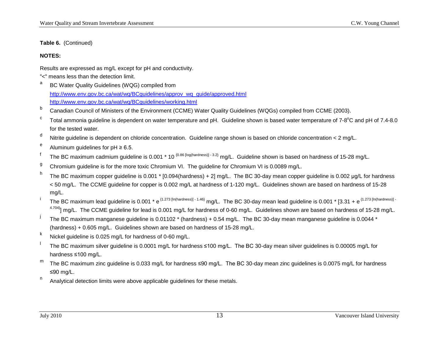**Table 6.** (Continued)

#### **NOTES:**

Results are expressed as mg/L except for pH and conductivity.

- "<" means less than the detection limit.
- a BC Water Quality Guidelines (WQG) compiled from http://www.env.gov.bc.ca/wat/wq/BCquidelines/approv\_wq\_quide/approved.html <http://www.env.gov.bc.ca/wat/wq/BCguidelines/working.html>
- b Canadian Council of Ministers of the Environment (CCME) Water Quality Guidelines (WQGs) compiled from CCME (2003).
- <sup>c</sup> Total ammonia guideline is dependent on water temperature and pH. Guideline shown is based water temperature of 7-8°C and pH of 7.4-8.0 for the tested water.
- $d$  Nitrite guideline is dependent on chloride concentration. Guideline range shown is based on chloride concentration < 2 mg/L.
- e Aluminum guidelines for  $pH \ge 6.5$ .
- <sup>f</sup> The BC maximum cadmium guideline is 0.001 \* 10<sup>{0.86 [log(hardness)] 3.2} mg/L. Guideline shown is based on hardness of 15-28 mg/L.</sup>
- <sup>g</sup> Chromium guideline is for the more toxic Chromium VI. The guideline for Chromium VI is 0.0089 mg/L.
- <sup>h</sup> The BC maximum copper guideline is 0.001 \* [0.094(hardness) + 2] mg/L. The BC 30-day mean copper guideline is 0.002 µg/L for hardness < 50 mg/L. The CCME guideline for copper is 0.002 mg/L at hardness of 1-120 mg/L. Guidelines shown are based on hardness of 15-28 mg/L.
- The BC maximum lead quideline is 0.001 \* e<sup>{1.273 [In(hardness)] 1.46}</sup> mg/L. The BC 30-day mean lead quideline is 0.001 \* [3.31 + e<sup>{1.273 [In(hardness)] -</sup> 4.704)] mg/L. The CCME guideline for lead is 0.001 mg/L for hardness of 0-60 mg/L. Guidelines shown are based on hardness of 15-28 mg/L.
- The BC maximum manganese guideline is 0.01102 \* (hardness) + 0.54 mg/L. The BC 30-day mean manganese guideline is 0.0044 \* (hardness) + 0.605 mg/L. Guidelines shown are based on hardness of 15-28 mg/L.
- $k$  Nickel guideline is 0.025 mg/L for hardness of 0-60 mg/L.
- <sup>l</sup> The BC maximum silver guideline is 0.0001 mg/L for hardness ≤100 mg/L. The BC 30-day mean silver guidelines is 0.00005 mg/L for hardness ≤100 mg/L.
- m The BC maximum zinc guideline is 0.033 mg/L for hardness ≤90 mg/L. The BC 30-day mean zinc guidelines is 0.0075 mg/L for hardness ≤90 mg/L.
- $n$  Analytical detection limits were above applicable guidelines for these metals.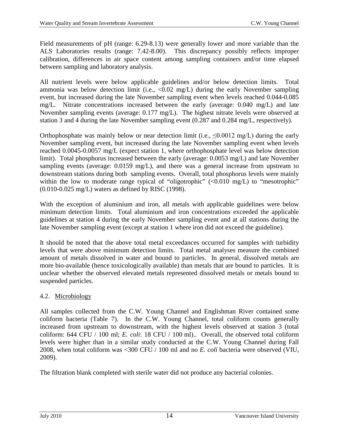Field measurements of pH (range: 6.29-8.13) were generally lower and more variable than the ALS Laboratories results (range: 7.42-8.00). This discrepancy possibly reflects improper calibration, differences in air space content among sampling containers and/or time elapsed between sampling and laboratory analysis.

All nutrient levels were below applicable guidelines and/or below detection limits. Total ammonia was below detection limit (i.e.,  $\langle 0.02 \text{ mg/L} \rangle$  during the early November sampling event, but increased during the late November sampling event when levels reached 0.044-0.085 mg/L. Nitrate concentrations increased between the early (average: 0.040 mg/L) and late November sampling events (average: 0.177 mg/L). The highest nitrate levels were observed at station 3 and 4 during the late November sampling event (0.287 and 0.284 mg/L, respectively).

Orthophosphate was mainly below or near detection limit (i.e.,  $\leq 0.0012$  mg/L) during the early November sampling event, but increased during the late November sampling event when levels reached 0.0045-0.0057 mg/L (expect station 1, where orthophosphate level was below detection limit). Total phosphorus increased between the early (average: 0.0053 mg/L) and late November sampling events (average: 0.0159 mg/L), and there was a general increase from upstream to downstream stations during both sampling events. Overall, total phosphorus levels were mainly within the low to moderate range typical of "oligotrophic" (<0.010 mg/L) to "mesotrophic" (0.010-0.025 mg/L) waters as defined by RISC (1998).

With the exception of aluminium and iron, all metals with applicable guidelines were below minimum detection limits. Total aluminium and iron concentrations exceeded the applicable guidelines at station 4 during the early November sampling event and at all stations during the late November sampling event (except at station 1 where iron did not exceed the guideline).

It should be noted that the above total metal exceedances occurred for samples with turbidity levels that were above minimum detection limits. Total metal analyses measure the combined amount of metals dissolved in water and bound to particles. In general, dissolved metals are more bio-available (hence toxicologically available) than metals that are bound to particles. It is unclear whether the observed elevated metals represented dissolved metals or metals bound to suspended particles.

#### 4.2. Microbiology

All samples collected from the C.W. Young Channel and Englishman River contained some coliform bacteria (Table 7). In the C.W. Young Channel, total coliform counts generally increased from upstream to downstream, with the highest levels observed at station 3 (total coliform: 644 CFU / 100 ml; *E. coli*: 18 CFU / 100 ml).. Overall, the observed total coliform levels were higher than in a similar study conducted at the C.W. Young Channel during Fall 2008, when total coliform was <300 CFU / 100 ml and no *E. coli* bacteria were observed (VIU, 2009).

The filtration blank completed with sterile water did not produce any bacterial colonies.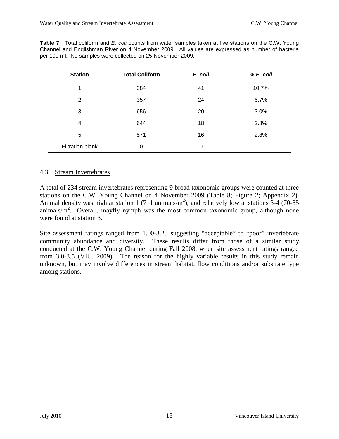| <b>Station</b>          | <b>Total Coliform</b> | E. coli | % E. coli |
|-------------------------|-----------------------|---------|-----------|
| 1                       | 384                   | 41      | 10.7%     |
| 2                       | 357                   | 24      | 6.7%      |
| 3                       | 656                   | 20      | 3.0%      |
| 4                       | 644                   | 18      | 2.8%      |
| 5                       | 571                   | 16      | 2.8%      |
| <b>Filtration blank</b> | 0                     | 0       |           |

**Table 7**. Total coliform and *E. coli* counts from water samples taken at five stations on the C.W. Young Channel and Englishman River on 4 November 2009. All values are expressed as number of bacteria per 100 ml. No samples were collected on 25 November 2009.

#### 4.3. Stream Invertebrates

A total of 234 stream invertebrates representing 9 broad taxonomic groups were counted at three stations on the C.W. Young Channel on 4 November 2009 (Table 8; Figure 2; Appendix 2). Animal density was high at station 1 (711 animals/ $m<sup>2</sup>$ ), and relatively low at stations 3-4 (70-85) animals/ $m^2$ . Overall, mayfly nymph was the most common taxonomic group, although none were found at station 3.

Site assessment ratings ranged from 1.00-3.25 suggesting "acceptable" to "poor" invertebrate community abundance and diversity. These results differ from those of a similar study conducted at the C.W. Young Channel during Fall 2008, when site assessment ratings ranged from 3.0-3.5 (VIU, 2009). The reason for the highly variable results in this study remain unknown, but may involve differences in stream habitat, flow conditions and/or substrate type among stations.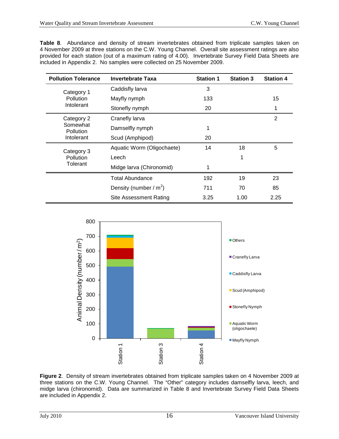**Table 8**. Abundance and density of stream invertebrates obtained from triplicate samples taken on 4 November 2009 at three stations on the C.W. Young Channel. Overall site assessment ratings are also provided for each station (out of a maximum rating of 4.00). Invertebrate Survey Field Data Sheets are included in Appendix 2. No samples were collected on 25 November 2009.

| <b>Pollution Tolerance</b> | <b>Invertebrate Taxa</b>   | <b>Station 1</b> | <b>Station 3</b> | <b>Station 4</b> |
|----------------------------|----------------------------|------------------|------------------|------------------|
| Category 1                 | Caddisfly larva            | 3                |                  |                  |
| Pollution                  | Mayfly nymph               | 133              |                  | 15               |
| Intolerant                 | Stonefly nymph             | 20               |                  | 1                |
| Category 2                 | Cranefly larva             |                  |                  | $\overline{2}$   |
| Somewhat<br>Pollution      | Damselfly nymph            | 1                |                  |                  |
| Intolerant                 | Scud (Amphipod)            | 20               |                  |                  |
| Category 3                 | Aquatic Worm (Oligochaete) | 14               | 18               | 5                |
| Pollution                  | Leech                      |                  | 1                |                  |
| Tolerant                   | Midge larva (Chironomid)   | 1                |                  |                  |
|                            | <b>Total Abundance</b>     | 192              | 19               | 23               |
|                            | Density (number / $m^2$ )  | 711              | 70               | 85               |
|                            | Site Assessment Rating     | 3.25             | 1.00             | 2.25             |



**Figure 2**. Density of stream invertebrates obtained from triplicate samples taken on 4 November 2009 at three stations on the C.W. Young Channel. The "Other" category includes damselfly larva, leech, and midge larva (chironomid). Data are summarized in Table 8 and Invertebrate Survey Field Data Sheets are included in Appendix 2.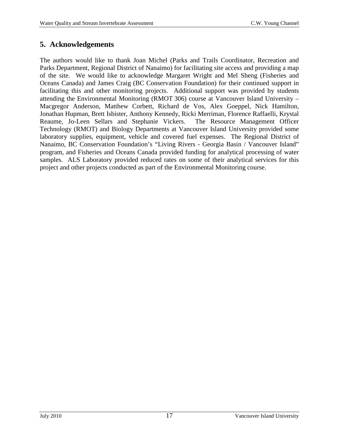# **5. Acknowledgements**

The authors would like to thank Joan Michel (Parks and Trails Coordinator, Recreation and Parks Department, Regional District of Nanaimo) for facilitating site access and providing a map of the site. We would like to acknowledge Margaret Wright and Mel Sheng (Fisheries and Oceans Canada) and James Craig (BC Conservation Foundation) for their continued support in facilitating this and other monitoring projects. Additional support was provided by students attending the Environmental Monitoring (RMOT 306) course at Vancouver Island University – Macgregor Anderson, Matthew Corbett, Richard de Vos, Alex Goeppel, Nick Hamilton, Jonathan Hupman, Brett Isbister, Anthony Kennedy, Ricki Merriman, Florence Raffaelli, Krystal Reaume, Jo-Leen Sellars and Stephanie Vickers. The Resource Management Officer Technology (RMOT) and Biology Departments at Vancouver Island University provided some laboratory supplies, equipment, vehicle and covered fuel expenses. The Regional District of Nanaimo, BC Conservation Foundation's "Living Rivers - Georgia Basin / Vancouver Island" program, and Fisheries and Oceans Canada provided funding for analytical processing of water samples. ALS Laboratory provided reduced rates on some of their analytical services for this project and other projects conducted as part of the Environmental Monitoring course.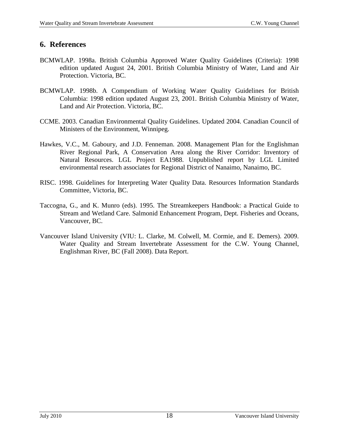# **6. References**

- BCMWLAP. 1998a. British Columbia Approved Water Quality Guidelines (Criteria): 1998 edition updated August 24, 2001. British Columbia Ministry of Water, Land and Air Protection. Victoria, BC.
- BCMWLAP. 1998b. A Compendium of Working Water Quality Guidelines for British Columbia: 1998 edition updated August 23, 2001. British Columbia Ministry of Water, Land and Air Protection. Victoria, BC.
- CCME. 2003. Canadian Environmental Quality Guidelines. Updated 2004. Canadian Council of Ministers of the Environment, Winnipeg.
- Hawkes, V.C., M. Gaboury, and J.D. Fenneman. 2008. Management Plan for the Englishman River Regional Park, A Conservation Area along the River Corridor: Inventory of Natural Resources. LGL Project EA1988. Unpublished report by LGL Limited environmental research associates for Regional District of Nanaimo, Nanaimo, BC.
- RISC. 1998. Guidelines for Interpreting Water Quality Data. Resources Information Standards Committee, Victoria, BC.
- Taccogna, G., and K. Munro (eds). 1995. The Streamkeepers Handbook: a Practical Guide to Stream and Wetland Care. Salmonid Enhancement Program, Dept. Fisheries and Oceans, Vancouver, BC.
- Vancouver Island University (VIU: L. Clarke, M. Colwell, M. Cormie, and E. Demers). 2009. Water Quality and Stream Invertebrate Assessment for the C.W. Young Channel, Englishman River, BC (Fall 2008). Data Report.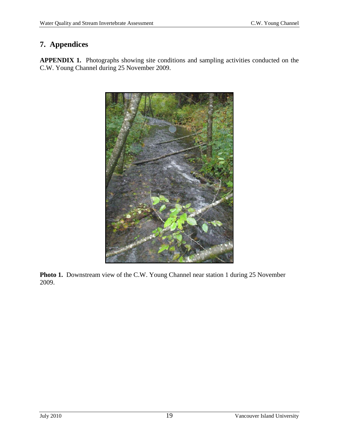# **7. Appendices**

**APPENDIX 1.** Photographs showing site conditions and sampling activities conducted on the C.W. Young Channel during 25 November 2009.



**Photo 1.** Downstream view of the C.W. Young Channel near station 1 during 25 November 2009.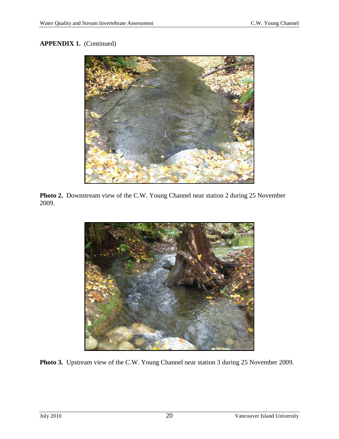

**Photo 2.** Downstream view of the C.W. Young Channel near station 2 during 25 November 2009.



**Photo 3.** Upstream view of the C.W. Young Channel near station 3 during 25 November 2009.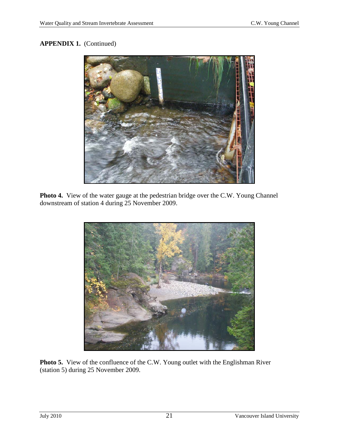

**Photo 4.** View of the water gauge at the pedestrian bridge over the C.W. Young Channel downstream of station 4 during 25 November 2009.



**Photo 5.** View of the confluence of the C.W. Young outlet with the Englishman River (station 5) during 25 November 2009.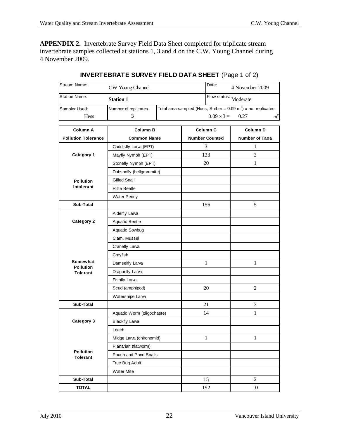**APPENDIX 2.** Invertebrate Survey Field Data Sheet completed for triplicate stream invertebrate samples collected at stations 1, 3 and 4 on the C.W. Young Channel during 4 November 2009.

| Stream Name:                        | CW Young Channel                    | Date:<br>4 November 2009  |  |                       |                                                                          |                |
|-------------------------------------|-------------------------------------|---------------------------|--|-----------------------|--------------------------------------------------------------------------|----------------|
| <b>Station Name:</b>                |                                     | Flow status: Moderate     |  |                       |                                                                          |                |
| Sampler Used:                       | Number of replicates                |                           |  |                       | Total area sampled (Hess, Surber = $0.09 \text{ m}^2$ ) x no. replicates |                |
| <b>Hess</b>                         | 3                                   | $0.09 \times 3 =$<br>0.27 |  |                       |                                                                          | m <sup>2</sup> |
| Column A                            | <b>Column B</b>                     |                           |  | Column C              | Column D                                                                 |                |
|                                     |                                     |                           |  |                       |                                                                          |                |
| <b>Pollution Tolerance</b>          | <b>Common Name</b>                  |                           |  | <b>Number Counted</b> | <b>Number of Taxa</b>                                                    |                |
|                                     | Caddisfly Larva (EPT)               |                           |  | 3                     | 1                                                                        |                |
| Category 1                          | Mayfly Nymph (EPT)                  |                           |  | 133                   | 3                                                                        |                |
|                                     | Stonefly Nymph (EPT)                |                           |  | 20                    | 1                                                                        |                |
|                                     | Dobsonfly (hellgrammite)            |                           |  |                       |                                                                          |                |
| <b>Pollution</b>                    | <b>Gilled Snail</b>                 |                           |  |                       |                                                                          |                |
| Intolerant                          | <b>Riffle Beetle</b><br>Water Penny |                           |  |                       |                                                                          |                |
|                                     |                                     |                           |  |                       |                                                                          |                |
| Sub-Total                           |                                     |                           |  | 156                   | 5                                                                        |                |
|                                     | Alderfly Larva                      |                           |  |                       |                                                                          |                |
| Category 2                          | Aquatic Beetle                      |                           |  |                       |                                                                          |                |
|                                     | Aquatic Sowbug                      |                           |  |                       |                                                                          |                |
|                                     | Clam, Mussel                        |                           |  |                       |                                                                          |                |
|                                     | Cranefly Larva                      |                           |  |                       |                                                                          |                |
|                                     | Crayfish                            |                           |  |                       |                                                                          |                |
| Somewhat<br><b>Pollution</b>        | Damselfly Larva                     |                           |  | 1                     | 1                                                                        |                |
| <b>Tolerant</b>                     | Dragonfly Larva                     |                           |  |                       |                                                                          |                |
|                                     | Fishfly Larva                       |                           |  |                       |                                                                          |                |
|                                     | Scud (amphipod)                     |                           |  | 20                    | $\overline{2}$                                                           |                |
|                                     | Watersnipe Larva                    |                           |  |                       |                                                                          |                |
| Sub-Total                           |                                     |                           |  | 21                    | 3                                                                        |                |
|                                     | Aquatic Worm (oligochaete)          |                           |  | 14                    | 1                                                                        |                |
| Category 3                          | <b>Blackfly Larva</b>               |                           |  |                       |                                                                          |                |
|                                     | Leech                               |                           |  |                       |                                                                          |                |
|                                     | Midge Larva (chironomid)            |                           |  | 1                     | $\mathbf{1}$                                                             |                |
|                                     | Planarian (flatworm)                |                           |  |                       |                                                                          |                |
| <b>Pollution</b><br><b>Tolerant</b> | Pouch and Pond Snails               |                           |  |                       |                                                                          |                |
|                                     | True Bug Adult                      |                           |  |                       |                                                                          |                |
|                                     | <b>Water Mite</b>                   |                           |  |                       |                                                                          |                |
| Sub-Total                           |                                     |                           |  | 15                    | $\overline{c}$                                                           |                |
| <b>TOTAL</b>                        |                                     |                           |  | 192                   | 10                                                                       |                |

#### **INVERTEBRATE SURVEY FIELD DATA SHEET** (Page 1 of 2)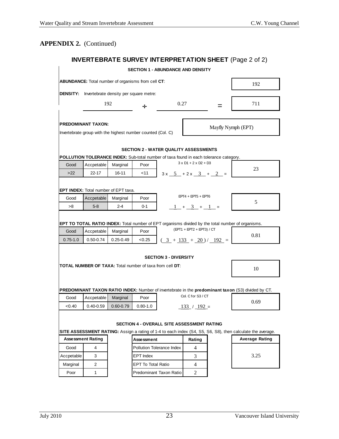$\mathbf{r}$ 

## **INVERTEBRATE SURVEY INTERPRETATION SHEET** (Page 2 of 2)

|                                                                                          |                                                    |                           |                           | <b>SECTION 1 - ABUNDANCE AND DENSITY</b>                                                     |                                                                                                                       |   |                                                                                                                  |  |  |  |
|------------------------------------------------------------------------------------------|----------------------------------------------------|---------------------------|---------------------------|----------------------------------------------------------------------------------------------|-----------------------------------------------------------------------------------------------------------------------|---|------------------------------------------------------------------------------------------------------------------|--|--|--|
|                                                                                          | ABUNDANCE: Total number of organisms from cell CT: |                           |                           |                                                                                              |                                                                                                                       |   | 192                                                                                                              |  |  |  |
| <b>DENSITY:</b>                                                                          | Invertebrate density per square metre:             |                           |                           |                                                                                              |                                                                                                                       |   |                                                                                                                  |  |  |  |
|                                                                                          |                                                    | 192                       | ÷                         | 0.27                                                                                         |                                                                                                                       | = | 711                                                                                                              |  |  |  |
| <b>PREDOMINANT TAXON:</b><br>Invertebrate group with the highest number counted (Col. C) | Mayfly Nymph (EPT)                                 |                           |                           |                                                                                              |                                                                                                                       |   |                                                                                                                  |  |  |  |
|                                                                                          |                                                    |                           |                           | SECTION 2 - WATER QUALITY ASSESSMENTS                                                        |                                                                                                                       |   |                                                                                                                  |  |  |  |
|                                                                                          |                                                    |                           |                           | <b>POLLUTION TOLERANCE INDEX:</b> Sub-total number of taxa found in each tolerance category. |                                                                                                                       |   |                                                                                                                  |  |  |  |
| Good<br>$>22$                                                                            | Accpetable<br>$22 - 17$                            | Marginal<br>$16 - 11$     | Poor<br>$<$ 11            |                                                                                              | $3 \times D1 + 2 \times D2 + D3$<br>$3x - 5 + 2x - 3 + 2 = 0$                                                         |   | 23                                                                                                               |  |  |  |
|                                                                                          | <b>EPT INDEX:</b> Total number of EPT taxa.        |                           |                           |                                                                                              |                                                                                                                       |   |                                                                                                                  |  |  |  |
| Good                                                                                     | Accpetable                                         | Marginal                  | Poor                      |                                                                                              | $EPT4 + EPT5 + EPT6$                                                                                                  |   |                                                                                                                  |  |  |  |
| >8                                                                                       | $5-8$                                              | $2 - 4$                   | $0 - 1$                   |                                                                                              | $-1$ + $-3$ + $-1$ =                                                                                                  |   | 5                                                                                                                |  |  |  |
| Good<br>$0.75 - 1.0$                                                                     | Accpetable<br>$0.50 - 0.74$                        | Marginal<br>$0.25 - 0.49$ | Poor<br>< 0.25            |                                                                                              | (EPT1 + EPT2 + EPT3) / CT<br>$\left(\frac{3}{2} + \frac{133}{2} + \frac{20}{2}\right) / \left(\frac{192}{2}\right) =$ |   | <b>EPT TO TOTAL RATIO INDEX:</b> Total number of EPT organisms divided by the total number of organisms.<br>0.81 |  |  |  |
|                                                                                          |                                                    |                           |                           | <b>SECTION 3 - DIVERSITY</b>                                                                 |                                                                                                                       |   |                                                                                                                  |  |  |  |
|                                                                                          |                                                    |                           |                           | <b>TOTAL NUMBER OF TAXA:</b> Total number of taxa from cell DT:                              |                                                                                                                       |   | 10                                                                                                               |  |  |  |
|                                                                                          |                                                    |                           |                           |                                                                                              |                                                                                                                       |   | PREDOMINANT TAXON RATIO INDEX: Number of invertebrate in the predominant taxon (S3) divided by CT.               |  |  |  |
| Good                                                                                     | Accpetable                                         | Marginal                  | Poor                      |                                                                                              | Col. C for S3 / CT                                                                                                    |   | 0.69                                                                                                             |  |  |  |
| < 0.40                                                                                   | $0.40 - 0.59$                                      | $0.60 - 0.79$             | $0.80 - 1.0$              |                                                                                              | $-133$ / $-192$ =                                                                                                     |   |                                                                                                                  |  |  |  |
|                                                                                          |                                                    |                           |                           | <b>SECTION 4 - OVERALL SITE ASSESSMENT RATING</b>                                            |                                                                                                                       |   | SITE ASSESSMENT RATING: Assign a rating of 1-4 to each index (S4, S5, S6, S8), then calculate the average.       |  |  |  |
|                                                                                          | <b>Assessment Rating</b>                           |                           | Assessment                |                                                                                              | Rating                                                                                                                |   | <b>Average Rating</b>                                                                                            |  |  |  |
| Good                                                                                     | 4                                                  |                           |                           | Pollution Tolerance Index                                                                    | 4                                                                                                                     |   |                                                                                                                  |  |  |  |
| Accpetable                                                                               | 3                                                  |                           | <b>EPT</b> Index          |                                                                                              | 3                                                                                                                     |   | 3.25                                                                                                             |  |  |  |
| Marginal                                                                                 | 2                                                  |                           | <b>EPT To Total Ratio</b> |                                                                                              | 4                                                                                                                     |   |                                                                                                                  |  |  |  |
| Poor                                                                                     | 1                                                  |                           |                           | Predominant Taxon Ratio                                                                      | $\overline{2}$                                                                                                        |   |                                                                                                                  |  |  |  |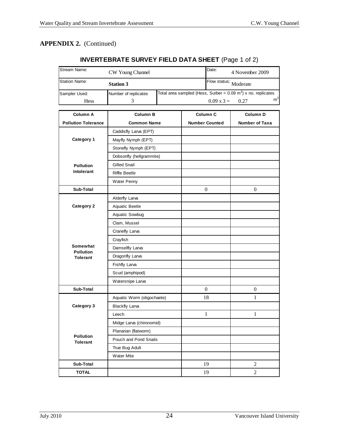## **INVERTEBRATE SURVEY FIELD DATA SHEET** (Page 1 of 2)

| Stream Name:                   | CW Young Channel           |                       | Date:                 | 4 November 2009                                                             |                |
|--------------------------------|----------------------------|-----------------------|-----------------------|-----------------------------------------------------------------------------|----------------|
| <b>Station Name:</b>           | <b>Station 3</b>           |                       | Flow status: Moderate |                                                                             |                |
| Sampler Used:                  | Number of replicates       |                       |                       | Total area sampled (Hess, Surber = $0.09$ m <sup>2</sup> ) x no. replicates |                |
| <b>Hess</b>                    | 3                          |                       | $0.09 \times 3 =$     | 0.27                                                                        | m <sup>2</sup> |
| Column A                       | <b>Column B</b>            | Column C              |                       | Column D                                                                    |                |
| <b>Pollution Tolerance</b>     | <b>Common Name</b>         | <b>Number Counted</b> |                       | <b>Number of Taxa</b>                                                       |                |
|                                | Caddisfly Larva (EPT)      |                       |                       |                                                                             |                |
| Category 1                     | Mayfly Nymph (EPT)         |                       |                       |                                                                             |                |
|                                | Stonefly Nymph (EPT)       |                       |                       |                                                                             |                |
|                                | Dobsonfly (hellgrammite)   |                       |                       |                                                                             |                |
|                                | <b>Gilled Snail</b>        |                       |                       |                                                                             |                |
| <b>Pollution</b><br>Intolerant | <b>Riffle Beetle</b>       |                       |                       |                                                                             |                |
|                                | <b>Water Penny</b>         |                       |                       |                                                                             |                |
| Sub-Total                      |                            | $\overline{0}$        |                       | $\mathbf{0}$                                                                |                |
|                                | Alderfly Larva             |                       |                       |                                                                             |                |
| Category 2                     | Aquatic Beetle             |                       |                       |                                                                             |                |
|                                | Aquatic Sowbug             |                       |                       |                                                                             |                |
|                                | Clam, Mussel               |                       |                       |                                                                             |                |
|                                | Cranefly Larva             |                       |                       |                                                                             |                |
|                                | Crayfish                   |                       |                       |                                                                             |                |
| Somewhat                       | Damselfly Larva            |                       |                       |                                                                             |                |
| <b>Pollution</b><br>Tolerant   | Dragonfly Larva            |                       |                       |                                                                             |                |
|                                | <b>Fishfly Larva</b>       |                       |                       |                                                                             |                |
|                                | Scud (amphipod)            |                       |                       |                                                                             |                |
|                                | Watersnipe Larva           |                       |                       |                                                                             |                |
| Sub-Total                      |                            | $\overline{0}$        |                       | $\boldsymbol{0}$                                                            |                |
|                                | Aquatic Worm (oligochaete) | 18                    |                       | $\mathbf{1}$                                                                |                |
| Category 3                     | <b>Blackfly Larva</b>      |                       |                       |                                                                             |                |
|                                | Leech                      |                       | 1                     | 1                                                                           |                |
|                                | Midge Larva (chironomid)   |                       |                       |                                                                             |                |
|                                | Planarian (flatworm)       |                       |                       |                                                                             |                |
| Pollution<br><b>Tolerant</b>   | Pouch and Pond Snails      |                       |                       |                                                                             |                |
|                                | True Bug Adult             |                       |                       |                                                                             |                |
|                                | <b>Water Mite</b>          |                       |                       |                                                                             |                |
| Sub-Total                      |                            |                       | 19                    | 2                                                                           |                |
| <b>TOTAL</b>                   |                            |                       | 19                    | $\overline{2}$                                                              |                |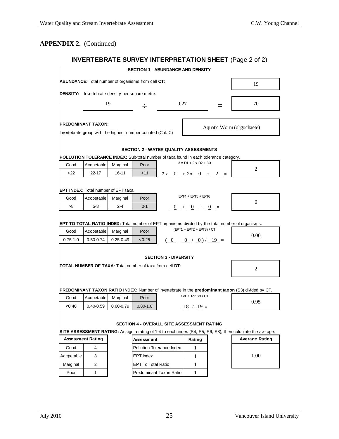$\mathbf{r}$ 

## **INVERTEBRATE SURVEY INTERPRETATION SHEET** (Page 2 of 2)

|                                                                                                                                                                       |                                      |               | <b>SECTION 1 - ABUNDANCE AND DENSITY</b>                    |                              |                                                                                                  |                       |                                                                                                    |  |
|-----------------------------------------------------------------------------------------------------------------------------------------------------------------------|--------------------------------------|---------------|-------------------------------------------------------------|------------------------------|--------------------------------------------------------------------------------------------------|-----------------------|----------------------------------------------------------------------------------------------------|--|
| ABUNDANCE: Total number of organisms from cell CT:                                                                                                                    |                                      |               |                                                             |                              |                                                                                                  |                       | 19                                                                                                 |  |
| <b>DENSITY:</b>                                                                                                                                                       |                                      |               |                                                             |                              |                                                                                                  |                       |                                                                                                    |  |
|                                                                                                                                                                       |                                      | 19            | 0.27<br>÷<br>=                                              |                              |                                                                                                  |                       | 70                                                                                                 |  |
|                                                                                                                                                                       | <b>PREDOMINANT TAXON:</b>            |               | Invertebrate group with the highest number counted (Col. C) |                              |                                                                                                  |                       | Aquatic Worm (oligochaete)                                                                         |  |
|                                                                                                                                                                       |                                      |               | <b>SECTION 2 - WATER QUALITY ASSESSMENTS</b>                |                              |                                                                                                  |                       |                                                                                                    |  |
| POLLUTION TOLERANCE INDEX: Sub-total number of taxa found in each tolerance category.                                                                                 |                                      |               |                                                             |                              |                                                                                                  |                       |                                                                                                    |  |
| Good                                                                                                                                                                  | Accpetable                           | Marginal      | Poor                                                        |                              | $3 \times D1 + 2 \times D2 + D3$                                                                 |                       | 2                                                                                                  |  |
| >22                                                                                                                                                                   | 22-17                                | 16-11         | $<$ 11                                                      |                              | $3x - 0 + 2x - 0 + 2 = 0$                                                                        |                       |                                                                                                    |  |
|                                                                                                                                                                       | EPT INDEX: Total number of EPT taxa. |               |                                                             |                              |                                                                                                  |                       |                                                                                                    |  |
| Good                                                                                                                                                                  | Accpetable                           | Marginal      | Poor                                                        |                              | $EPT4 + EPT5 + EPT6$                                                                             |                       |                                                                                                    |  |
| >8                                                                                                                                                                    | $5-8$                                | $2 - 4$       | $0 - 1$                                                     |                              | $0 + 0 + 0 =$                                                                                    |                       | $\overline{0}$                                                                                     |  |
|                                                                                                                                                                       |                                      |               |                                                             |                              |                                                                                                  |                       |                                                                                                    |  |
|                                                                                                                                                                       |                                      |               |                                                             |                              |                                                                                                  |                       | EPT TO TOTAL RATIO INDEX: Total number of EPT organisms divided by the total number of organisms.  |  |
| Good                                                                                                                                                                  | Accpetable                           | Marginal      | Poor                                                        |                              |                                                                                                  |                       |                                                                                                    |  |
| $0.75 - 1.0$                                                                                                                                                          | $0.50 - 0.74$                        | $0.25 - 0.49$ | < 0.25                                                      |                              | $\left(\frac{0}{0} + \frac{0}{0} + \frac{0}{0}\right) / \left(\frac{19}{0} - \frac{0}{0}\right)$ |                       | 0.00                                                                                               |  |
|                                                                                                                                                                       |                                      |               |                                                             |                              |                                                                                                  |                       |                                                                                                    |  |
|                                                                                                                                                                       |                                      |               |                                                             | <b>SECTION 3 - DIVERSITY</b> |                                                                                                  |                       |                                                                                                    |  |
| <b>TOTAL NUMBER OF TAXA:</b> Total number of taxa from cell DT:                                                                                                       |                                      |               |                                                             |                              |                                                                                                  |                       | 2                                                                                                  |  |
|                                                                                                                                                                       |                                      |               |                                                             |                              |                                                                                                  |                       |                                                                                                    |  |
|                                                                                                                                                                       |                                      |               |                                                             |                              |                                                                                                  |                       |                                                                                                    |  |
|                                                                                                                                                                       |                                      |               |                                                             |                              | Col. C for S3 / CT                                                                               |                       | PREDOMINANT TAXON RATIO INDEX: Number of invertebrate in the predominant taxon (S3) divided by CT. |  |
| Good                                                                                                                                                                  | Accpetable                           | Marginal      | Poor                                                        |                              |                                                                                                  |                       | 0.95                                                                                               |  |
| <0.40                                                                                                                                                                 | $0.40 - 0.59$                        | $0.60 - 0.79$ | $0.80 - 1.0$                                                |                              | $\underline{18}$ / $\underline{19}$ =                                                            |                       |                                                                                                    |  |
|                                                                                                                                                                       |                                      |               |                                                             |                              |                                                                                                  |                       |                                                                                                    |  |
|                                                                                                                                                                       |                                      |               | <b>SECTION 4 - OVERALL SITE ASSESSMENT RATING</b>           |                              |                                                                                                  |                       |                                                                                                    |  |
| SITE ASSESSMENT RATING: Assign a rating of 1-4 to each index (S4, S5, S6, S8), then calculate the average.<br><b>Assessment Rating</b><br><b>Assessment</b><br>Rating |                                      |               |                                                             |                              |                                                                                                  | <b>Average Rating</b> |                                                                                                    |  |
| Good                                                                                                                                                                  | 4                                    |               | Pollution Tolerance Index                                   |                              | 1                                                                                                |                       |                                                                                                    |  |
| Accpetable                                                                                                                                                            | 3                                    |               | <b>EPT</b> Index                                            |                              | $\mathbf{1}$                                                                                     |                       | 1.00                                                                                               |  |
| Marginal                                                                                                                                                              | 2                                    |               | <b>EPT To Total Ratio</b>                                   |                              | $\mathbf{1}$                                                                                     |                       |                                                                                                    |  |
| Poor                                                                                                                                                                  | $\mathbf{1}$                         |               | Predominant Taxon Ratio                                     |                              | $\mathbf{1}$                                                                                     |                       |                                                                                                    |  |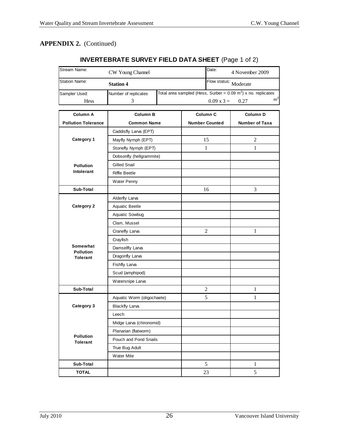## **INVERTEBRATE SURVEY FIELD DATA SHEET** (Page 1 of 2)

| Stream Name:                 | CW Young Channel           |  |                           | Date:                                                                       | 4 November 2009       |                |
|------------------------------|----------------------------|--|---------------------------|-----------------------------------------------------------------------------|-----------------------|----------------|
| <b>Station Name:</b>         | <b>Station 4</b>           |  |                           | Flow status: Moderate                                                       |                       |                |
| Sampler Used:                | Number of replicates<br>3  |  |                           | Total area sampled (Hess, Surber = $0.09$ m <sup>2</sup> ) x no. replicates |                       |                |
| <b>Hess</b>                  |                            |  | $0.09 \times 3 =$<br>0.27 |                                                                             |                       | m <sup>2</sup> |
| Column A                     | <b>Column B</b>            |  |                           | Column C                                                                    | Column D              |                |
| <b>Pollution Tolerance</b>   | <b>Common Name</b>         |  |                           | <b>Number Counted</b>                                                       | <b>Number of Taxa</b> |                |
|                              | Caddisfly Larva (EPT)      |  |                           |                                                                             |                       |                |
| Category 1                   | Mayfly Nymph (EPT)         |  | 15                        | 2                                                                           |                       |                |
|                              | Stonefly Nymph (EPT)       |  | $\mathbf{1}$              | $\mathbf{1}$                                                                |                       |                |
|                              | Dobsonfly (hellgrammite)   |  |                           |                                                                             |                       |                |
| <b>Pollution</b>             | <b>Gilled Snail</b>        |  |                           |                                                                             |                       |                |
| Intolerant                   | <b>Riffle Beetle</b>       |  |                           |                                                                             |                       |                |
|                              | <b>Water Penny</b>         |  |                           |                                                                             |                       |                |
| Sub-Total                    |                            |  |                           | 16                                                                          | 3                     |                |
|                              | Alderfly Larva             |  |                           |                                                                             |                       |                |
| Category 2                   | Aquatic Beetle             |  |                           |                                                                             |                       |                |
|                              | Aquatic Sowbug             |  |                           |                                                                             |                       |                |
|                              | Clam, Mussel               |  |                           |                                                                             |                       |                |
|                              | Cranefly Larva             |  |                           | 2                                                                           | $\mathbf{1}$          |                |
|                              | Crayfish                   |  |                           |                                                                             |                       |                |
| Somewhat                     | Damselfly Larva            |  |                           |                                                                             |                       |                |
| <b>Pollution</b><br>Tolerant | Dragonfly Larva            |  |                           |                                                                             |                       |                |
|                              | <b>Fishfly Larva</b>       |  |                           |                                                                             |                       |                |
|                              | Scud (amphipod)            |  |                           |                                                                             |                       |                |
|                              | Watersnipe Larva           |  |                           |                                                                             |                       |                |
| Sub-Total                    |                            |  |                           | 2                                                                           | $\mathbf{1}$          |                |
|                              | Aquatic Worm (oligochaete) |  |                           | 5                                                                           | $\mathbf{1}$          |                |
| Category 3                   | <b>Blackfly Larva</b>      |  |                           |                                                                             |                       |                |
|                              | Leech                      |  |                           |                                                                             |                       |                |
|                              | Midge Larva (chironomid)   |  |                           |                                                                             |                       |                |
|                              | Planarian (flatworm)       |  |                           |                                                                             |                       |                |
| Pollution<br><b>Tolerant</b> | Pouch and Pond Snails      |  |                           |                                                                             |                       |                |
|                              | True Bug Adult             |  |                           |                                                                             |                       |                |
|                              | <b>Water Mite</b>          |  |                           |                                                                             |                       |                |
| Sub-Total                    |                            |  |                           | 5                                                                           | $\mathbf{1}$          |                |
| <b>TOTAL</b>                 |                            |  |                           | 23                                                                          | 5                     |                |